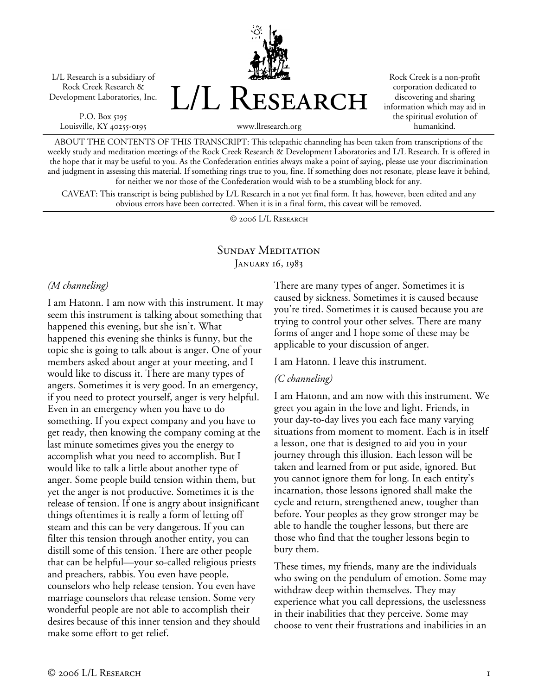L/L Research is a subsidiary of Rock Creek Research & Development Laboratories, Inc.

P.O. Box 5195 Louisville, KY 40255-0195 L/L Research

Rock Creek is a non-profit corporation dedicated to discovering and sharing information which may aid in the spiritual evolution of humankind.

www.llresearch.org

ABOUT THE CONTENTS OF THIS TRANSCRIPT: This telepathic channeling has been taken from transcriptions of the weekly study and meditation meetings of the Rock Creek Research & Development Laboratories and L/L Research. It is offered in the hope that it may be useful to you. As the Confederation entities always make a point of saying, please use your discrimination and judgment in assessing this material. If something rings true to you, fine. If something does not resonate, please leave it behind, for neither we nor those of the Confederation would wish to be a stumbling block for any.

CAVEAT: This transcript is being published by L/L Research in a not yet final form. It has, however, been edited and any obvious errors have been corrected. When it is in a final form, this caveat will be removed.

© 2006 L/L Research

#### SUNDAY MEDITATION JANUARY 16, 1983

#### *(M channeling)*

I am Hatonn. I am now with this instrument. It may seem this instrument is talking about something that happened this evening, but she isn't. What happened this evening she thinks is funny, but the topic she is going to talk about is anger. One of your members asked about anger at your meeting, and I would like to discuss it. There are many types of angers. Sometimes it is very good. In an emergency, if you need to protect yourself, anger is very helpful. Even in an emergency when you have to do something. If you expect company and you have to get ready, then knowing the company coming at the last minute sometimes gives you the energy to accomplish what you need to accomplish. But I would like to talk a little about another type of anger. Some people build tension within them, but yet the anger is not productive. Sometimes it is the release of tension. If one is angry about insignificant things oftentimes it is really a form of letting off steam and this can be very dangerous. If you can filter this tension through another entity, you can distill some of this tension. There are other people that can be helpful—your so-called religious priests and preachers, rabbis. You even have people, counselors who help release tension. You even have marriage counselors that release tension. Some very wonderful people are not able to accomplish their desires because of this inner tension and they should make some effort to get relief.

There are many types of anger. Sometimes it is caused by sickness. Sometimes it is caused because you're tired. Sometimes it is caused because you are trying to control your other selves. There are many forms of anger and I hope some of these may be applicable to your discussion of anger.

I am Hatonn. I leave this instrument.

#### *(C channeling)*

I am Hatonn, and am now with this instrument. We greet you again in the love and light. Friends, in your day-to-day lives you each face many varying situations from moment to moment. Each is in itself a lesson, one that is designed to aid you in your journey through this illusion. Each lesson will be taken and learned from or put aside, ignored. But you cannot ignore them for long. In each entity's incarnation, those lessons ignored shall make the cycle and return, strengthened anew, tougher than before. Your peoples as they grow stronger may be able to handle the tougher lessons, but there are those who find that the tougher lessons begin to bury them.

These times, my friends, many are the individuals who swing on the pendulum of emotion. Some may withdraw deep within themselves. They may experience what you call depressions, the uselessness in their inabilities that they perceive. Some may choose to vent their frustrations and inabilities in an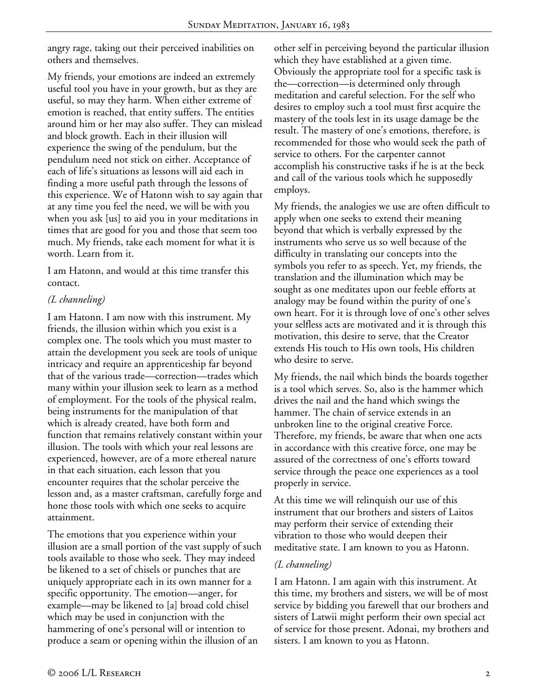angry rage, taking out their perceived inabilities on others and themselves.

My friends, your emotions are indeed an extremely useful tool you have in your growth, but as they are useful, so may they harm. When either extreme of emotion is reached, that entity suffers. The entities around him or her may also suffer. They can mislead and block growth. Each in their illusion will experience the swing of the pendulum, but the pendulum need not stick on either. Acceptance of each of life's situations as lessons will aid each in finding a more useful path through the lessons of this experience. We of Hatonn wish to say again that at any time you feel the need, we will be with you when you ask [us] to aid you in your meditations in times that are good for you and those that seem too much. My friends, take each moment for what it is worth. Learn from it.

I am Hatonn, and would at this time transfer this contact.

### *(L channeling)*

I am Hatonn. I am now with this instrument. My friends, the illusion within which you exist is a complex one. The tools which you must master to attain the development you seek are tools of unique intricacy and require an apprenticeship far beyond that of the various trade—correction—trades which many within your illusion seek to learn as a method of employment. For the tools of the physical realm, being instruments for the manipulation of that which is already created, have both form and function that remains relatively constant within your illusion. The tools with which your real lessons are experienced, however, are of a more ethereal nature in that each situation, each lesson that you encounter requires that the scholar perceive the lesson and, as a master craftsman, carefully forge and hone those tools with which one seeks to acquire attainment.

The emotions that you experience within your illusion are a small portion of the vast supply of such tools available to those who seek. They may indeed be likened to a set of chisels or punches that are uniquely appropriate each in its own manner for a specific opportunity. The emotion—anger, for example—may be likened to [a] broad cold chisel which may be used in conjunction with the hammering of one's personal will or intention to produce a seam or opening within the illusion of an

other self in perceiving beyond the particular illusion which they have established at a given time. Obviously the appropriate tool for a specific task is the—correction—is determined only through meditation and careful selection. For the self who desires to employ such a tool must first acquire the mastery of the tools lest in its usage damage be the result. The mastery of one's emotions, therefore, is recommended for those who would seek the path of service to others. For the carpenter cannot accomplish his constructive tasks if he is at the beck and call of the various tools which he supposedly employs.

My friends, the analogies we use are often difficult to apply when one seeks to extend their meaning beyond that which is verbally expressed by the instruments who serve us so well because of the difficulty in translating our concepts into the symbols you refer to as speech. Yet, my friends, the translation and the illumination which may be sought as one meditates upon our feeble efforts at analogy may be found within the purity of one's own heart. For it is through love of one's other selves your selfless acts are motivated and it is through this motivation, this desire to serve, that the Creator extends His touch to His own tools, His children who desire to serve.

My friends, the nail which binds the boards together is a tool which serves. So, also is the hammer which drives the nail and the hand which swings the hammer. The chain of service extends in an unbroken line to the original creative Force. Therefore, my friends, be aware that when one acts in accordance with this creative force, one may be assured of the correctness of one's efforts toward service through the peace one experiences as a tool properly in service.

At this time we will relinquish our use of this instrument that our brothers and sisters of Laitos may perform their service of extending their vibration to those who would deepen their meditative state. I am known to you as Hatonn.

#### *(L channeling)*

I am Hatonn. I am again with this instrument. At this time, my brothers and sisters, we will be of most service by bidding you farewell that our brothers and sisters of Latwii might perform their own special act of service for those present. Adonai, my brothers and sisters. I am known to you as Hatonn.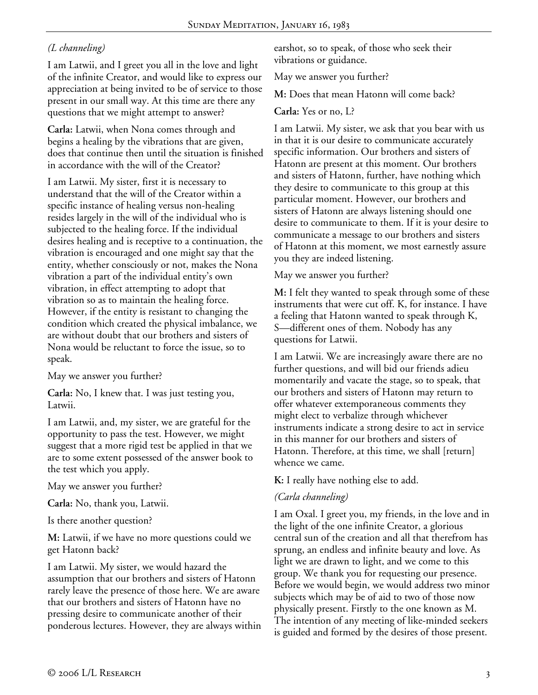# *(L channeling)*

I am Latwii, and I greet you all in the love and light of the infinite Creator, and would like to express our appreciation at being invited to be of service to those present in our small way. At this time are there any questions that we might attempt to answer?

**Carla:** Latwii, when Nona comes through and begins a healing by the vibrations that are given, does that continue then until the situation is finished in accordance with the will of the Creator?

I am Latwii. My sister, first it is necessary to understand that the will of the Creator within a specific instance of healing versus non-healing resides largely in the will of the individual who is subjected to the healing force. If the individual desires healing and is receptive to a continuation, the vibration is encouraged and one might say that the entity, whether consciously or not, makes the Nona vibration a part of the individual entity's own vibration, in effect attempting to adopt that vibration so as to maintain the healing force. However, if the entity is resistant to changing the condition which created the physical imbalance, we are without doubt that our brothers and sisters of Nona would be reluctant to force the issue, so to speak.

May we answer you further?

**Carla:** No, I knew that. I was just testing you, Latwii.

I am Latwii, and, my sister, we are grateful for the opportunity to pass the test. However, we might suggest that a more rigid test be applied in that we are to some extent possessed of the answer book to the test which you apply.

May we answer you further?

**Carla:** No, thank you, Latwii.

Is there another question?

**M:** Latwii, if we have no more questions could we get Hatonn back?

I am Latwii. My sister, we would hazard the assumption that our brothers and sisters of Hatonn rarely leave the presence of those here. We are aware that our brothers and sisters of Hatonn have no pressing desire to communicate another of their ponderous lectures. However, they are always within earshot, so to speak, of those who seek their vibrations or guidance.

May we answer you further?

**M:** Does that mean Hatonn will come back?

**Carla:** Yes or no, L?

I am Latwii. My sister, we ask that you bear with us in that it is our desire to communicate accurately specific information. Our brothers and sisters of Hatonn are present at this moment. Our brothers and sisters of Hatonn, further, have nothing which they desire to communicate to this group at this particular moment. However, our brothers and sisters of Hatonn are always listening should one desire to communicate to them. If it is your desire to communicate a message to our brothers and sisters of Hatonn at this moment, we most earnestly assure you they are indeed listening.

May we answer you further?

**M:** I felt they wanted to speak through some of these instruments that were cut off. K, for instance. I have a feeling that Hatonn wanted to speak through K, S—different ones of them. Nobody has any questions for Latwii.

I am Latwii. We are increasingly aware there are no further questions, and will bid our friends adieu momentarily and vacate the stage, so to speak, that our brothers and sisters of Hatonn may return to offer whatever extemporaneous comments they might elect to verbalize through whichever instruments indicate a strong desire to act in service in this manner for our brothers and sisters of Hatonn. Therefore, at this time, we shall [return] whence we came.

**K:** I really have nothing else to add.

#### *(Carla channeling)*

I am Oxal. I greet you, my friends, in the love and in the light of the one infinite Creator, a glorious central sun of the creation and all that therefrom has sprung, an endless and infinite beauty and love. As light we are drawn to light, and we come to this group. We thank you for requesting our presence. Before we would begin, we would address two minor subjects which may be of aid to two of those now physically present. Firstly to the one known as M. The intention of any meeting of like-minded seekers is guided and formed by the desires of those present.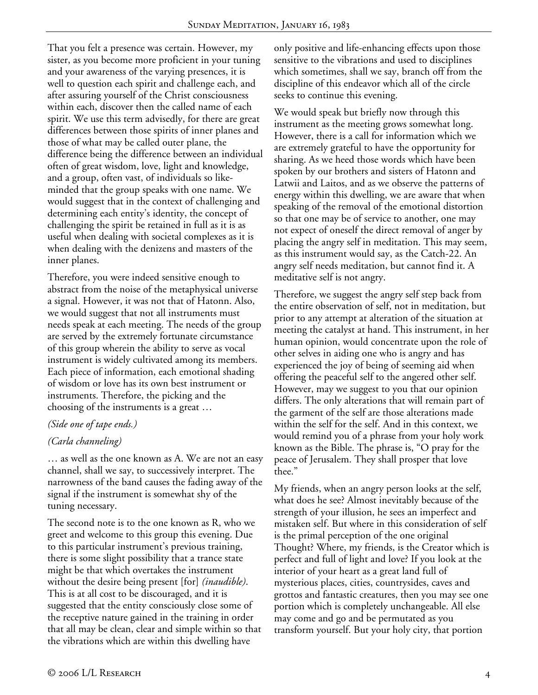That you felt a presence was certain. However, my sister, as you become more proficient in your tuning and your awareness of the varying presences, it is well to question each spirit and challenge each, and after assuring yourself of the Christ consciousness within each, discover then the called name of each spirit. We use this term advisedly, for there are great differences between those spirits of inner planes and those of what may be called outer plane, the difference being the difference between an individual often of great wisdom, love, light and knowledge, and a group, often vast, of individuals so likeminded that the group speaks with one name. We would suggest that in the context of challenging and determining each entity's identity, the concept of challenging the spirit be retained in full as it is as useful when dealing with societal complexes as it is when dealing with the denizens and masters of the inner planes.

Therefore, you were indeed sensitive enough to abstract from the noise of the metaphysical universe a signal. However, it was not that of Hatonn. Also, we would suggest that not all instruments must needs speak at each meeting. The needs of the group are served by the extremely fortunate circumstance of this group wherein the ability to serve as vocal instrument is widely cultivated among its members. Each piece of information, each emotional shading of wisdom or love has its own best instrument or instruments. Therefore, the picking and the choosing of the instruments is a great …

#### *(Side one of tape ends.)*

#### *(Carla channeling)*

… as well as the one known as A. We are not an easy channel, shall we say, to successively interpret. The narrowness of the band causes the fading away of the signal if the instrument is somewhat shy of the tuning necessary.

The second note is to the one known as R, who we greet and welcome to this group this evening. Due to this particular instrument's previous training, there is some slight possibility that a trance state might be that which overtakes the instrument without the desire being present [for] *(inaudible)*. This is at all cost to be discouraged, and it is suggested that the entity consciously close some of the receptive nature gained in the training in order that all may be clean, clear and simple within so that the vibrations which are within this dwelling have

only positive and life-enhancing effects upon those sensitive to the vibrations and used to disciplines which sometimes, shall we say, branch off from the discipline of this endeavor which all of the circle seeks to continue this evening.

We would speak but briefly now through this instrument as the meeting grows somewhat long. However, there is a call for information which we are extremely grateful to have the opportunity for sharing. As we heed those words which have been spoken by our brothers and sisters of Hatonn and Latwii and Laitos, and as we observe the patterns of energy within this dwelling, we are aware that when speaking of the removal of the emotional distortion so that one may be of service to another, one may not expect of oneself the direct removal of anger by placing the angry self in meditation. This may seem, as this instrument would say, as the Catch-22. An angry self needs meditation, but cannot find it. A meditative self is not angry.

Therefore, we suggest the angry self step back from the entire observation of self, not in meditation, but prior to any attempt at alteration of the situation at meeting the catalyst at hand. This instrument, in her human opinion, would concentrate upon the role of other selves in aiding one who is angry and has experienced the joy of being of seeming aid when offering the peaceful self to the angered other self. However, may we suggest to you that our opinion differs. The only alterations that will remain part of the garment of the self are those alterations made within the self for the self. And in this context, we would remind you of a phrase from your holy work known as the Bible. The phrase is, "O pray for the peace of Jerusalem. They shall prosper that love thee."

My friends, when an angry person looks at the self, what does he see? Almost inevitably because of the strength of your illusion, he sees an imperfect and mistaken self. But where in this consideration of self is the primal perception of the one original Thought? Where, my friends, is the Creator which is perfect and full of light and love? If you look at the interior of your heart as a great land full of mysterious places, cities, countrysides, caves and grottos and fantastic creatures, then you may see one portion which is completely unchangeable. All else may come and go and be permutated as you transform yourself. But your holy city, that portion